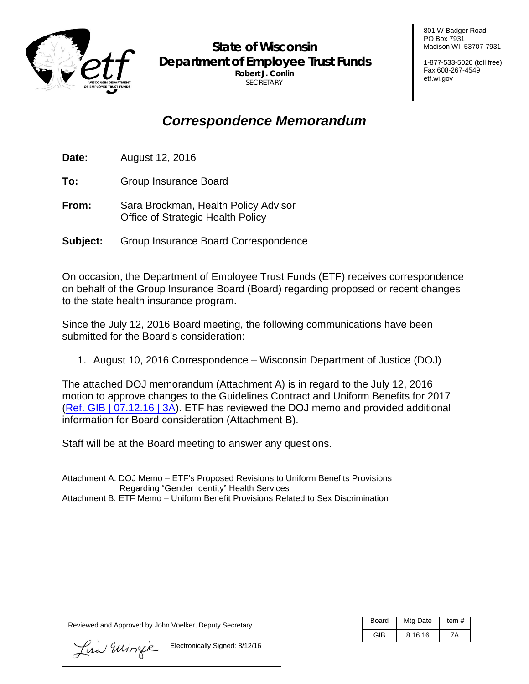

**State of Wisconsin Department of Employee Trust Funds Robert J. Conlin SECRETARY** 

801 W Badger Road PO Box 7931 Madison WI 53707-7931

1-877-533-5020 (toll free) Fax 608-267-4549 etf.wi.gov

# *Correspondence Memorandum*

**Date:** August 12, 2016

**To:** Group Insurance Board

- **From:** Sara Brockman, Health Policy Advisor Office of Strategic Health Policy
- **Subject:** Group Insurance Board Correspondence

On occasion, the Department of Employee Trust Funds (ETF) receives correspondence on behalf of the Group Insurance Board (Board) regarding proposed or recent changes to the state health insurance program.

Since the July 12, 2016 Board meeting, the following communications have been submitted for the Board's consideration:

1. August 10, 2016 Correspondence – Wisconsin Department of Justice (DOJ)

The attached DOJ memorandum (Attachment A) is in regard to the July 12, 2016 motion to approve changes to the Guidelines Contract and Uniform Benefits for 2017 [\(Ref. GIB | 07.12.16 | 3A\)](http://etf.wi.gov/boards/agenda-items-2016/gib0712/item3a.pdf). ETF has reviewed the DOJ memo and provided additional information for Board consideration (Attachment B).

Staff will be at the Board meeting to answer any questions.

Attachment A: DOJ Memo – ETF's Proposed Revisions to Uniform Benefits Provisions Regarding "Gender Identity" Health Services Attachment B: ETF Memo – Uniform Benefit Provisions Related to Sex Discrimination

Reviewed and Approved by John Voelker, Deputy Secretary

Board | Mtg Date | Item # GIB | 8.16.16 | 7A

Lisa Ellingie Electronically Signed: 8/12/16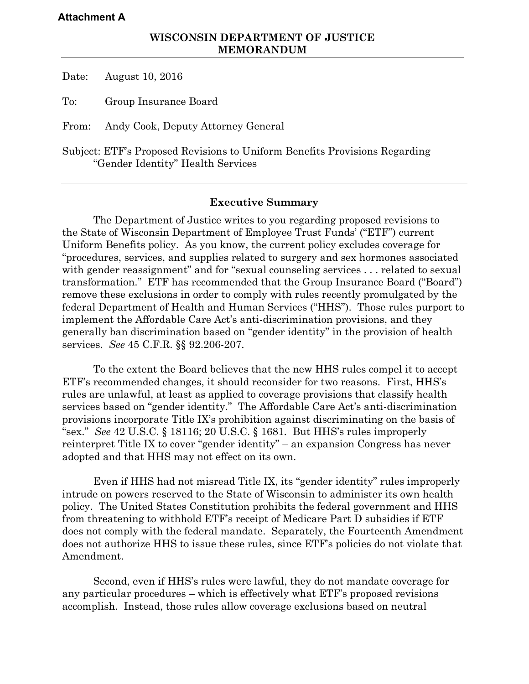#### **Attachment A**

Date: August 10, 2016

To: Group Insurance Board

From: Andy Cook, Deputy Attorney General

Subject: ETF's Proposed Revisions to Uniform Benefits Provisions Regarding "Gender Identity" Health Services

#### **Executive Summary**

The Department of Justice writes to you regarding proposed revisions to the State of Wisconsin Department of Employee Trust Funds' ("ETF") current Uniform Benefits policy. As you know, the current policy excludes coverage for "procedures, services, and supplies related to surgery and sex hormones associated with gender reassignment" and for "sexual counseling services . . . related to sexual transformation." ETF has recommended that the Group Insurance Board ("Board") remove these exclusions in order to comply with rules recently promulgated by the federal Department of Health and Human Services ("HHS"). Those rules purport to implement the Affordable Care Act's anti-discrimination provisions, and they generally ban discrimination based on "gender identity" in the provision of health services. *See* 45 C.F.R. §§ 92.206-207.

To the extent the Board believes that the new HHS rules compel it to accept ETF's recommended changes, it should reconsider for two reasons. First, HHS's rules are unlawful, at least as applied to coverage provisions that classify health services based on "gender identity." The Affordable Care Act's anti-discrimination provisions incorporate Title IX's prohibition against discriminating on the basis of "sex." *See* 42 U.S.C. § 18116; 20 U.S.C. § 1681. But HHS's rules improperly reinterpret Title IX to cover "gender identity" – an expansion Congress has never adopted and that HHS may not effect on its own.

Even if HHS had not misread Title IX, its "gender identity" rules improperly intrude on powers reserved to the State of Wisconsin to administer its own health policy. The United States Constitution prohibits the federal government and HHS from threatening to withhold ETF's receipt of Medicare Part D subsidies if ETF does not comply with the federal mandate. Separately, the Fourteenth Amendment does not authorize HHS to issue these rules, since ETF's policies do not violate that Amendment.

Second, even if HHS's rules were lawful, they do not mandate coverage for any particular procedures – which is effectively what ETF's proposed revisions accomplish. Instead, those rules allow coverage exclusions based on neutral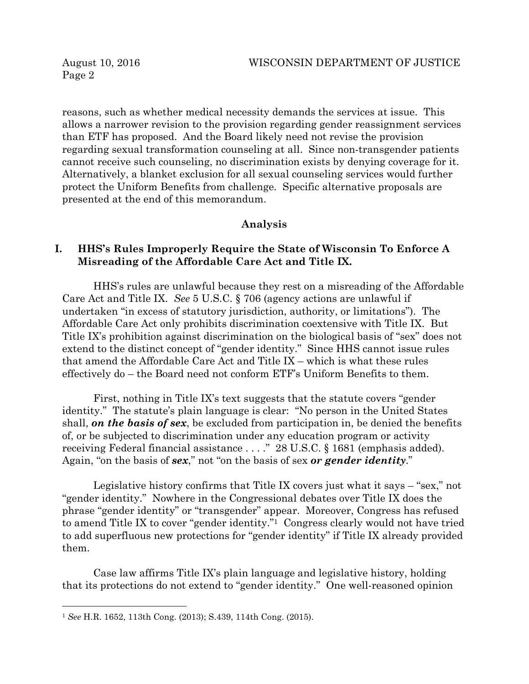reasons, such as whether medical necessity demands the services at issue. This allows a narrower revision to the provision regarding gender reassignment services than ETF has proposed. And the Board likely need not revise the provision regarding sexual transformation counseling at all. Since non-transgender patients cannot receive such counseling, no discrimination exists by denying coverage for it. Alternatively, a blanket exclusion for all sexual counseling services would further protect the Uniform Benefits from challenge. Specific alternative proposals are presented at the end of this memorandum.

#### **Analysis**

### **I. HHS's Rules Improperly Require the State of Wisconsin To Enforce A Misreading of the Affordable Care Act and Title IX.**

HHS's rules are unlawful because they rest on a misreading of the Affordable Care Act and Title IX. *See* 5 U.S.C. § 706 (agency actions are unlawful if undertaken "in excess of statutory jurisdiction, authority, or limitations"). The Affordable Care Act only prohibits discrimination coextensive with Title IX. But Title IX's prohibition against discrimination on the biological basis of "sex" does not extend to the distinct concept of "gender identity." Since HHS cannot issue rules that amend the Affordable Care Act and Title IX – which is what these rules effectively do – the Board need not conform ETF's Uniform Benefits to them.

First, nothing in Title IX's text suggests that the statute covers "gender identity." The statute's plain language is clear: "No person in the United States shall, *on the basis of sex*, be excluded from participation in, be denied the benefits of, or be subjected to discrimination under any education program or activity receiving Federal financial assistance . . . ." 28 U.S.C. § 1681 (emphasis added). Again, "on the basis of *sex*," not "on the basis of sex *or gender identity*."

Legislative history confirms that Title IX covers just what it says – "sex," not "gender identity." Nowhere in the Congressional debates over Title IX does the phrase "gender identity" or "transgender" appear. Moreover, Congress has refused to amend Title IX to cover "gender identity."1 Congress clearly would not have tried to add superfluous new protections for "gender identity" if Title IX already provided them.

Case law affirms Title IX's plain language and legislative history, holding that its protections do not extend to "gender identity." One well-reasoned opinion

 $\overline{a}$ 

<sup>1</sup> *See* H.R. 1652, 113th Cong. (2013); S.439, 114th Cong. (2015).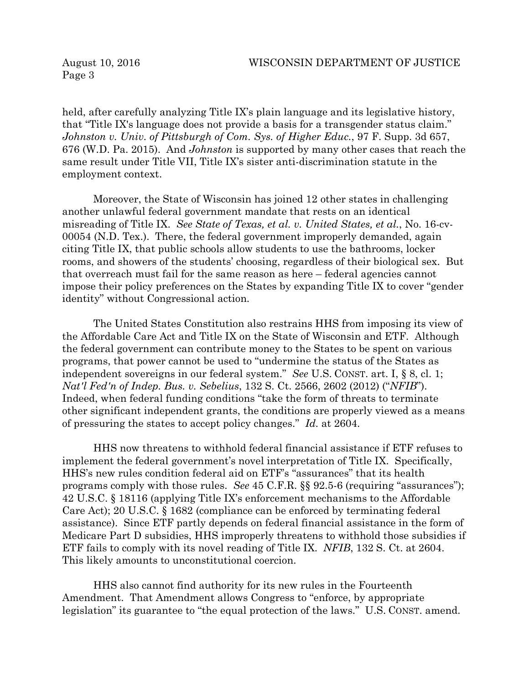held, after carefully analyzing Title IX's plain language and its legislative history, that "Title IX's language does not provide a basis for a transgender status claim." *Johnston v. Univ. of Pittsburgh of Com. Sys. of Higher Educ.*, 97 F. Supp. 3d 657, 676 (W.D. Pa. 2015). And *Johnston* is supported by many other cases that reach the same result under Title VII, Title IX's sister anti-discrimination statute in the employment context.

Moreover, the State of Wisconsin has joined 12 other states in challenging another unlawful federal government mandate that rests on an identical misreading of Title IX. *See State of Texas, et al. v. United States, et al.*, No. 16-cv-00054 (N.D. Tex.). There, the federal government improperly demanded, again citing Title IX, that public schools allow students to use the bathrooms, locker rooms, and showers of the students' choosing, regardless of their biological sex. But that overreach must fail for the same reason as here – federal agencies cannot impose their policy preferences on the States by expanding Title IX to cover "gender identity" without Congressional action.

The United States Constitution also restrains HHS from imposing its view of the Affordable Care Act and Title IX on the State of Wisconsin and ETF. Although the federal government can contribute money to the States to be spent on various programs, that power cannot be used to "undermine the status of the States as independent sovereigns in our federal system." *See* U.S. CONST. art. I, § 8, cl. 1; *Nat'l Fed'n of Indep. Bus. v. Sebelius*, 132 S. Ct. 2566, 2602 (2012) ("*NFIB*"). Indeed, when federal funding conditions "take the form of threats to terminate other significant independent grants, the conditions are properly viewed as a means of pressuring the states to accept policy changes." *Id.* at 2604.

HHS now threatens to withhold federal financial assistance if ETF refuses to implement the federal government's novel interpretation of Title IX. Specifically, HHS's new rules condition federal aid on ETF's "assurances" that its health programs comply with those rules. *See* 45 C.F.R. §§ 92.5-6 (requiring "assurances"); 42 U.S.C. § 18116 (applying Title IX's enforcement mechanisms to the Affordable Care Act); 20 U.S.C. § 1682 (compliance can be enforced by terminating federal assistance). Since ETF partly depends on federal financial assistance in the form of Medicare Part D subsidies, HHS improperly threatens to withhold those subsidies if ETF fails to comply with its novel reading of Title IX. *NFIB*, 132 S. Ct. at 2604. This likely amounts to unconstitutional coercion.

HHS also cannot find authority for its new rules in the Fourteenth Amendment. That Amendment allows Congress to "enforce, by appropriate legislation" its guarantee to "the equal protection of the laws." U.S. CONST. amend.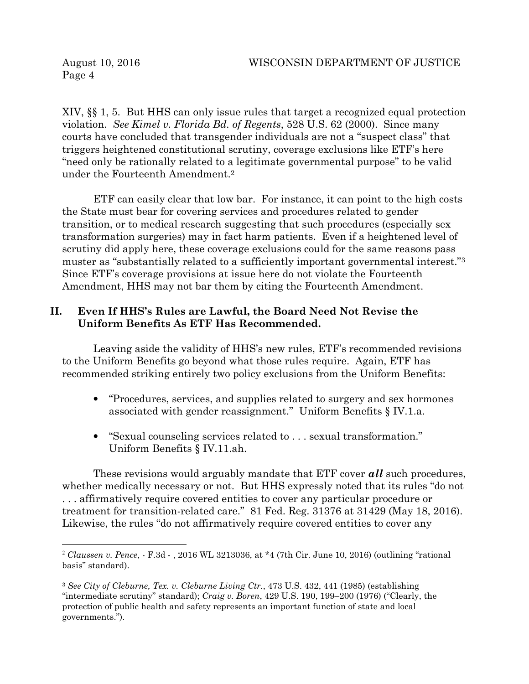$\overline{a}$ 

XIV, §§ 1, 5. But HHS can only issue rules that target a recognized equal protection violation. *See Kimel v. Florida Bd. of Regents*, 528 U.S. 62 (2000). Since many courts have concluded that transgender individuals are not a "suspect class" that triggers heightened constitutional scrutiny, coverage exclusions like ETF's here "need only be rationally related to a legitimate governmental purpose" to be valid under the Fourteenth Amendment.<sup>2</sup>

ETF can easily clear that low bar. For instance, it can point to the high costs the State must bear for covering services and procedures related to gender transition, or to medical research suggesting that such procedures (especially sex transformation surgeries) may in fact harm patients. Even if a heightened level of scrutiny did apply here, these coverage exclusions could for the same reasons pass muster as "substantially related to a sufficiently important governmental interest."<sup>3</sup> Since ETF's coverage provisions at issue here do not violate the Fourteenth Amendment, HHS may not bar them by citing the Fourteenth Amendment.

## **II. Even If HHS's Rules are Lawful, the Board Need Not Revise the Uniform Benefits As ETF Has Recommended.**

Leaving aside the validity of HHS's new rules, ETF's recommended revisions to the Uniform Benefits go beyond what those rules require. Again, ETF has recommended striking entirely two policy exclusions from the Uniform Benefits:

- "Procedures, services, and supplies related to surgery and sex hormones associated with gender reassignment." Uniform Benefits § IV.1.a.
- "Sexual counseling services related to . . . sexual transformation." Uniform Benefits § IV.11.ah.

These revisions would arguably mandate that ETF cover *all* such procedures, whether medically necessary or not. But HHS expressly noted that its rules "do not . . . affirmatively require covered entities to cover any particular procedure or treatment for transition-related care." 81 Fed. Reg. 31376 at 31429 (May 18, 2016). Likewise, the rules "do not affirmatively require covered entities to cover any

<sup>2</sup> *Claussen v. Pence*, - F.3d - , 2016 WL 3213036, at \*4 (7th Cir. June 10, 2016) (outlining "rational basis" standard).

<sup>3</sup> *See City of Cleburne, Tex. v. Cleburne Living Ctr.*, 473 U.S. 432, 441 (1985) (establishing "intermediate scrutiny" standard); *Craig v. Boren*, 429 U.S. 190, 199–200 (1976) ("Clearly, the protection of public health and safety represents an important function of state and local governments.").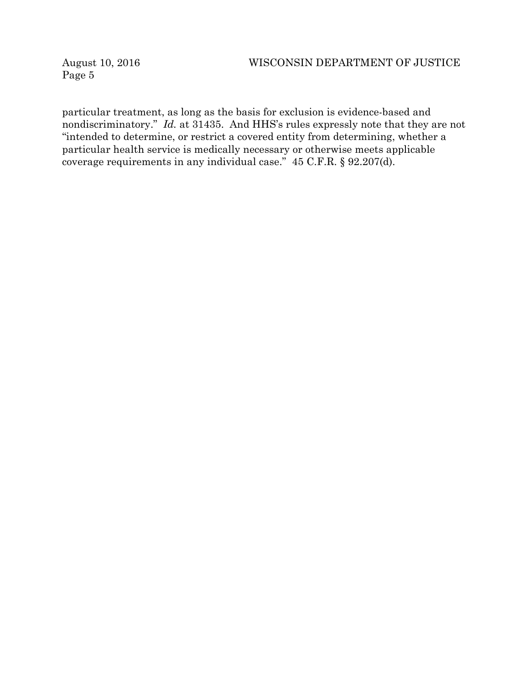particular treatment, as long as the basis for exclusion is evidence-based and nondiscriminatory." *Id.* at 31435. And HHS's rules expressly note that they are not "intended to determine, or restrict a covered entity from determining, whether a particular health service is medically necessary or otherwise meets applicable coverage requirements in any individual case." 45 C.F.R. § 92.207(d).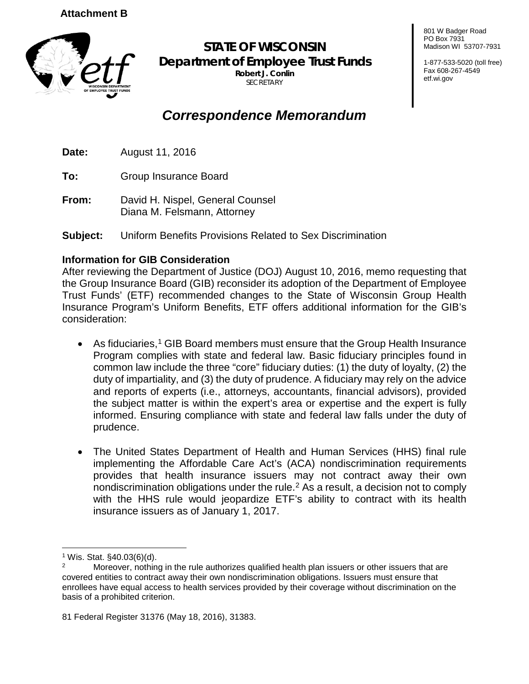

**STATE OF WISCONSIN Department of Employee Trust Funds Robert J. Conlin**  SECRETARY

# *Correspondence Memorandum*

**Date:** August 11, 2016

**To:** Group Insurance Board

**From:** David H. Nispel, General Counsel Diana M. Felsmann, Attorney

**Subject:** Uniform Benefits Provisions Related to Sex Discrimination

# **Information for GIB Consideration**

After reviewing the Department of Justice (DOJ) August 10, 2016, memo requesting that the Group Insurance Board (GIB) reconsider its adoption of the Department of Employee Trust Funds' (ETF) recommended changes to the State of Wisconsin Group Health Insurance Program's Uniform Benefits, ETF offers additional information for the GIB's consideration:

- As fiduciaries,<sup>[1](#page-6-0)</sup> GIB Board members must ensure that the Group Health Insurance Program complies with state and federal law. Basic fiduciary principles found in common law include the three "core" fiduciary duties: (1) the duty of loyalty, (2) the duty of impartiality, and (3) the duty of prudence. A fiduciary may rely on the advice and reports of experts (i.e., attorneys, accountants, financial advisors), provided the subject matter is within the expert's area or expertise and the expert is fully informed. Ensuring compliance with state and federal law falls under the duty of prudence.
- The United States Department of Health and Human Services (HHS) final rule implementing the Affordable Care Act's (ACA) nondiscrimination requirements provides that health insurance issuers may not contract away their own nondiscrimination obligations under the rule.<sup>[2](#page-6-1)</sup> As a result, a decision not to comply with the HHS rule would jeopardize ETF's ability to contract with its health insurance issuers as of January 1, 2017.

801 W Badger Road PO Box 7931 Madison WI 53707-7931

1-877-533-5020 (toll free) Fax 608-267-4549 etf.wi.gov

<span id="page-6-0"></span><sup>&</sup>lt;sup>1</sup> Wis. Stat. §40.03(6)(d).

<span id="page-6-1"></span>Moreover, nothing in the rule authorizes qualified health plan issuers or other issuers that are covered entities to contract away their own nondiscrimination obligations. Issuers must ensure that enrollees have equal access to health services provided by their coverage without discrimination on the basis of a prohibited criterion.

<sup>81</sup> Federal Register 31376 (May 18, 2016), 31383.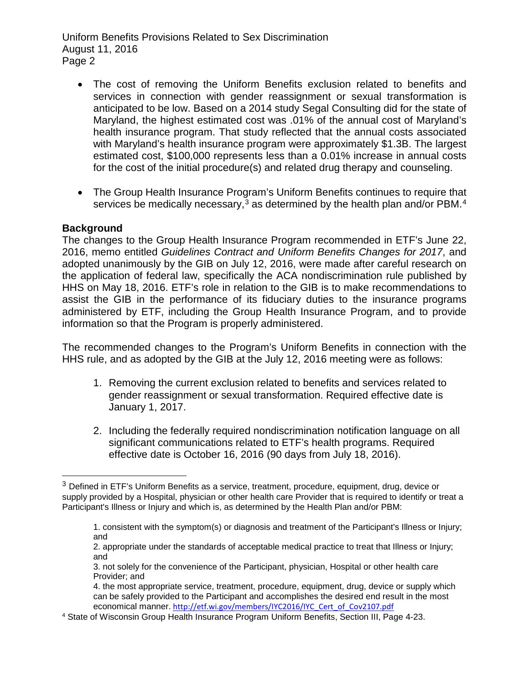- The cost of removing the Uniform Benefits exclusion related to benefits and services in connection with gender reassignment or sexual transformation is anticipated to be low. Based on a 2014 study Segal Consulting did for the state of Maryland, the highest estimated cost was .01% of the annual cost of Maryland's health insurance program. That study reflected that the annual costs associated with Maryland's health insurance program were approximately \$1.3B. The largest estimated cost, \$100,000 represents less than a 0.01% increase in annual costs for the cost of the initial procedure(s) and related drug therapy and counseling.
- The Group Health Insurance Program's Uniform Benefits continues to require that services be medically necessary,<sup>[3](#page-7-0)</sup> as determined by the health plan and/or PBM.<sup>[4](#page-7-1)</sup>

### **Background**

The changes to the Group Health Insurance Program recommended in ETF's June 22, 2016, memo entitled *Guidelines Contract and Uniform Benefits Changes for 2017*, and adopted unanimously by the GIB on July 12, 2016, were made after careful research on the application of federal law, specifically the ACA nondiscrimination rule published by HHS on May 18, 2016. ETF's role in relation to the GIB is to make recommendations to assist the GIB in the performance of its fiduciary duties to the insurance programs administered by ETF, including the Group Health Insurance Program, and to provide information so that the Program is properly administered.

The recommended changes to the Program's Uniform Benefits in connection with the HHS rule, and as adopted by the GIB at the July 12, 2016 meeting were as follows:

- 1. Removing the current exclusion related to benefits and services related to gender reassignment or sexual transformation. Required effective date is January 1, 2017.
- 2. Including the federally required nondiscrimination notification language on all significant communications related to ETF's health programs. Required effective date is October 16, 2016 (90 days from July 18, 2016).

<span id="page-7-0"></span> $3$  Defined in ETF's Uniform Benefits as a service, treatment, procedure, equipment, drug, device or supply provided by a Hospital, physician or other health care Provider that is required to identify or treat a Participant's Illness or Injury and which is, as determined by the Health Plan and/or PBM:

<sup>1.</sup> consistent with the symptom(s) or diagnosis and treatment of the Participant's Illness or Injury; and

<sup>2.</sup> appropriate under the standards of acceptable medical practice to treat that Illness or Injury; and

<sup>3.</sup> not solely for the convenience of the Participant, physician, Hospital or other health care Provider; and

<sup>4.</sup> the most appropriate service, treatment, procedure, equipment, drug, device or supply which can be safely provided to the Participant and accomplishes the desired end result in the most economical manner. [http://etf.wi.gov/members/IYC2016/IYC\\_Cert\\_of\\_Cov2107.pdf](http://etf.wi.gov/members/IYC2016/IYC_Cert_of_Cov2107.pdf)

<span id="page-7-1"></span><sup>4</sup> State of Wisconsin Group Health Insurance Program Uniform Benefits, Section III, Page 4-23.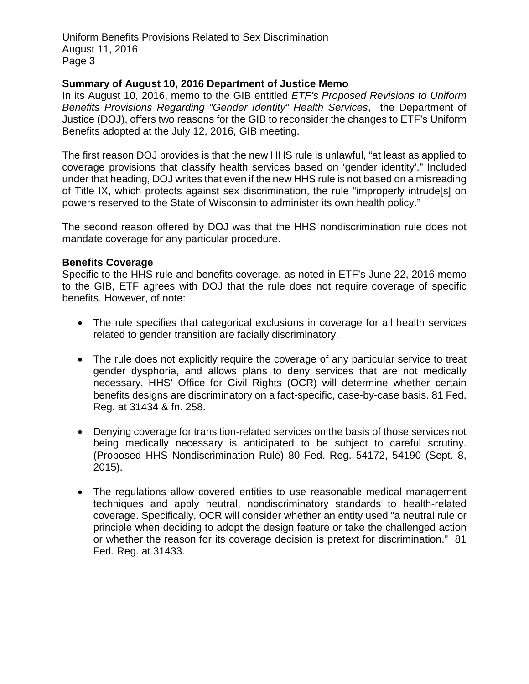### **Summary of August 10, 2016 Department of Justice Memo**

In its August 10, 2016, memo to the GIB entitled *ETF's Proposed Revisions to Uniform Benefits Provisions Regarding "Gender Identity" Health Services*, the Department of Justice (DOJ), offers two reasons for the GIB to reconsider the changes to ETF's Uniform Benefits adopted at the July 12, 2016, GIB meeting.

The first reason DOJ provides is that the new HHS rule is unlawful, "at least as applied to coverage provisions that classify health services based on 'gender identity'." Included under that heading, DOJ writes that even if the new HHS rule is not based on a misreading of Title IX, which protects against sex discrimination, the rule "improperly intrude[s] on powers reserved to the State of Wisconsin to administer its own health policy."

The second reason offered by DOJ was that the HHS nondiscrimination rule does not mandate coverage for any particular procedure.

#### **Benefits Coverage**

Specific to the HHS rule and benefits coverage, as noted in ETF's June 22, 2016 memo to the GIB, ETF agrees with DOJ that the rule does not require coverage of specific benefits. However, of note:

- The rule specifies that categorical exclusions in coverage for all health services related to gender transition are facially discriminatory.
- The rule does not explicitly require the coverage of any particular service to treat gender dysphoria, and allows plans to deny services that are not medically necessary. HHS' Office for Civil Rights (OCR) will determine whether certain benefits designs are discriminatory on a fact-specific, case-by-case basis. 81 Fed. Reg. at 31434 & fn. 258.
- Denying coverage for transition-related services on the basis of those services not being medically necessary is anticipated to be subject to careful scrutiny. (Proposed HHS Nondiscrimination Rule) 80 Fed. Reg. 54172, 54190 (Sept. 8, 2015).
- The regulations allow covered entities to use reasonable medical management techniques and apply neutral, nondiscriminatory standards to health-related coverage. Specifically, OCR will consider whether an entity used "a neutral rule or principle when deciding to adopt the design feature or take the challenged action or whether the reason for its coverage decision is pretext for discrimination." 81 Fed. Reg. at 31433.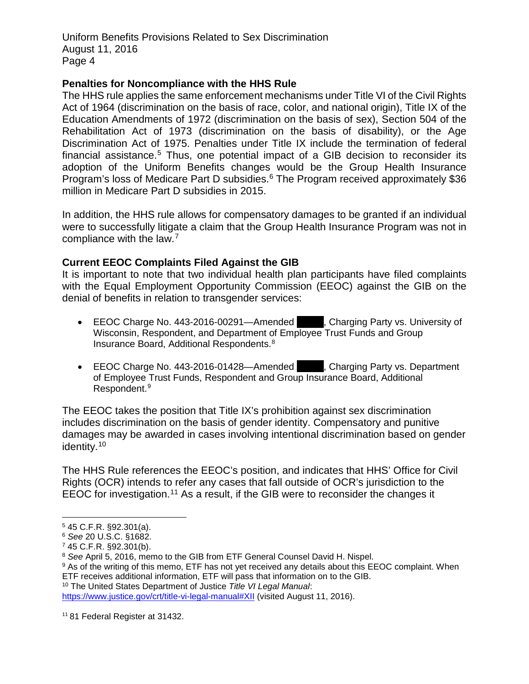#### **Penalties for Noncompliance with the HHS Rule**

The HHS rule applies the same enforcement mechanisms under Title VI of the Civil Rights Act of 1964 (discrimination on the basis of race, color, and national origin), Title IX of the Education Amendments of 1972 (discrimination on the basis of sex), Section 504 of the Rehabilitation Act of 1973 (discrimination on the basis of disability), or the Age Discrimination Act of 1975. Penalties under Title IX include the termination of federal financial assistance.<sup>[5](#page-9-0)</sup> Thus, one potential impact of a GIB decision to reconsider its adoption of the Uniform Benefits changes would be the Group Health Insurance Program's loss of Medicare Part D subsidies.<sup>[6](#page-9-1)</sup> The Program received approximately \$36 million in Medicare Part D subsidies in 2015.

In addition, the HHS rule allows for compensatory damages to be granted if an individual were to successfully litigate a claim that the Group Health Insurance Program was not in compliance with the law.[7](#page-9-2)

## **Current EEOC Complaints Filed Against the GIB**

It is important to note that two individual health plan participants have filed complaints with the Equal Employment Opportunity Commission (EEOC) against the GIB on the denial of benefits in relation to transgender services:

- EEOC Charge No. 443-2016-00291—Amended A.S. Charging Party vs. University of Wisconsin, Respondent, and Department of Employee Trust Funds and Group Insurance Board, Additional Respondents.[8](#page-9-3)
- EEOC Charge No. 443-2016-01428—Amended **A.S.**, Charging Party vs. Department of Employee Trust Funds, Respondent and Group Insurance Board, Additional Respondent.[9](#page-9-4)

The EEOC takes the position that Title IX's prohibition against sex discrimination includes discrimination on the basis of gender identity. Compensatory and punitive damages may be awarded in cases involving intentional discrimination based on gender identity.[10](#page-9-5)

The HHS Rule references the EEOC's position, and indicates that HHS' Office for Civil Rights (OCR) intends to refer any cases that fall outside of OCR's jurisdiction to the EEOC for investigation.<sup>[11](#page-9-6)</sup> As a result, if the GIB were to reconsider the changes it

<span id="page-9-5"></span><sup>10</sup> The United States Department of Justice *Title VI Legal Manual*:

<span id="page-9-0"></span> <sup>5</sup> 45 C.F.R. §92.301(a).

<span id="page-9-1"></span><sup>6</sup> *See* 20 U.S.C. §1682.

<span id="page-9-2"></span><sup>7</sup> 45 C.F.R. §92.301(b).

<span id="page-9-3"></span><sup>8</sup> *See* April 5, 2016, memo to the GIB from ETF General Counsel David H. Nispel.

<span id="page-9-4"></span><sup>9</sup> As of the writing of this memo, ETF has not yet received any details about this EEOC complaint. When ETF receives additional information, ETF will pass that information on to the GIB.

[https://www.justice.gov/crt/title-vi-legal-manual#XII](https://www.justice.gov/crt/title-vi-legal-manual%23XII) (visited August 11, 2016).

<span id="page-9-6"></span><sup>&</sup>lt;sup>11</sup> 81 Federal Register at 31432.